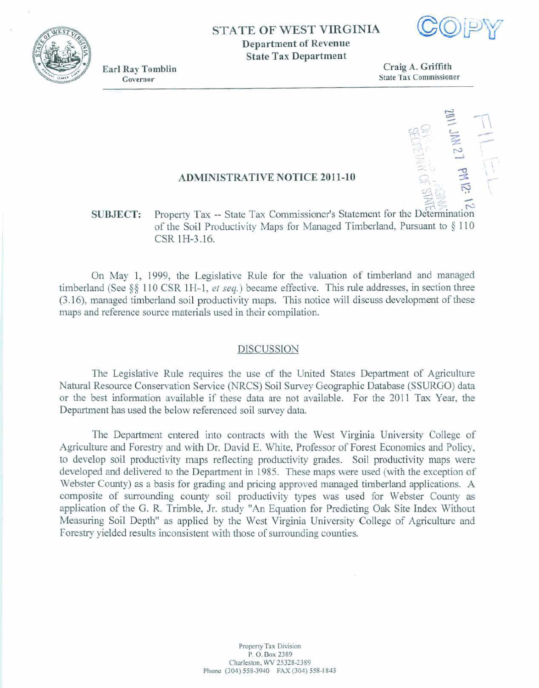### **STATE OF WEST VIRGINIA**

**Department of Revenue State Tax Department** 

**Earl Ray Tomblin**<br>
Governor<br> **Earl Ray Tombin**<br> **Earl Ray Tombin**<br> **Earl Ray Tombin**<br> **Earl Ray Tombin**<br> **Earl Ray Commission State Tax Commissioner** 

-.

IL 7 HN 71

### **ADMINISTRATIVE NOTICE 2011-10**

## **SUBJECT:** Property Tax -- State Tax Commissioner's Statement for the Determination **of** the **Soil 3rrobcdvity** Maps **far** Managed **TimbesImd,** Furmat **to 6 110 CSR 1H-3.16.**

**On May** 1, 1999, **the Legislative** Rule for **the** valuation **of timberIand and** *mmged*  **timberland (See \$9 1 1 0 CSR** 1 **H-** 1, *et* **seq.** ) became **effective.** This **rule addresses, in section** three **(3.1 61, managed timberland** soil **productivity** maps. **This** notice **will discuss development of** these maps **and reference source materials used in their compilation,** 

#### **DISCUS SlON**

The **Legislative** Rule **requires the use** of the **United States** Department of **Agriculture Natural Resource Conservation Service (NRCS) Soil Survey Geographic Database (SSURGO) data** or **the** best information **available** if these **data are not available. For the 2011** Tax **Year,** the **Deparhnent has** used **the** below referenced **soil survey data.** 

**The Department entered** into contracts with *the* **West** Virginia University **College of**  &culture **and** Forestry and with **Dr.** David **E.** White, Professor **of** Forest **Economics and Policy,**  to develop soil productivity maps reflecting productivity grades. Soil productivity maps were **developed** and **delivered to** the **Department in** 1 **985. These maps were** used **(with the exception of**  Web **County) as a basis for grading and pricing approved** managed timberland **applications. A composite of surrounding** county **soil productivity** *types* was used **for Webster County as application of** the G. **R Trimble, Jr. study "An Equation for** Predicting **Oak Site Index Without**  Measuring **Soil Depth" as applied by the West** Virginia **University CoIlege** of **Agriculture and**  Forestry yielded results inconsistent with those of surrounding counties.